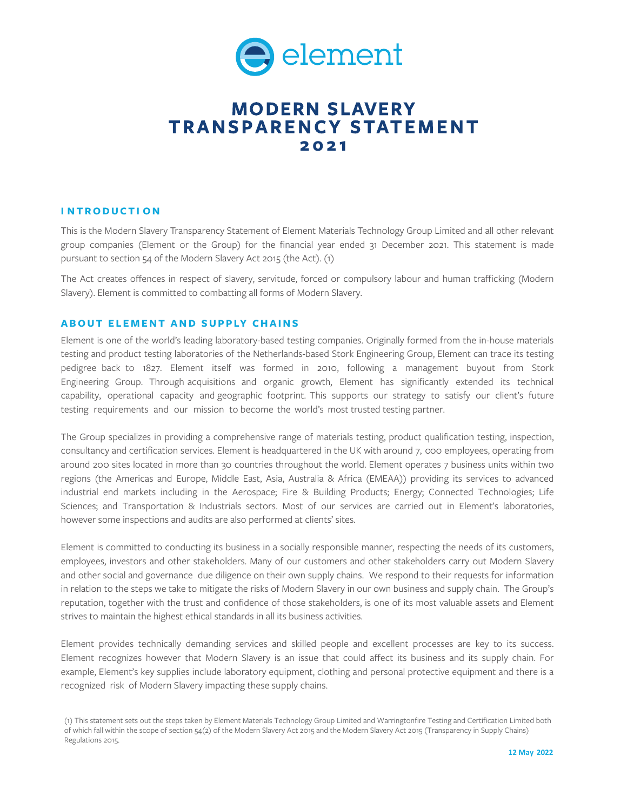

# **MODERN SLAVERY T RANSPARENCY S TATEMENT 202 1**

# **I NTRODUCTI O N**

This is the Modern Slavery Transparency Statement of Element Materials Technology Group Limited and all other relevant group companies (Element or the Group) for the financial year ended 31 December 2021. This statement is made pursuant to section 54 of the Modern Slavery Act 2015 (the Act). (1)

The Act creates offences in respect of slavery, servitude, forced or compulsory labour and human trafficking (Modern Slavery). Element is committed to combatting all forms of Modern Slavery.

# **ABOUT ELEMENT AND SUPPLY CHAINS**

Element is one of the world's leading laboratory-based testing companies. Originally formed from the in-house materials testing and product testing laboratories of the Netherlands-based Stork Engineering Group, Element can trace its testing pedigree back to 1827. Element itself was formed in 2010, following a management buyout from Stork Engineering Group. Through acquisitions and organic growth, Element has significantly extended its technical capability, operational capacity and geographic footprint. This supports our strategy to satisfy our client's future testing requirements and our mission to become the world's most trusted testing partner.

The Group specializes in providing a comprehensive range of materials testing, product qualification testing, inspection, consultancy and certification services. Element is headquartered in the UK with around 7, 000 employees, operating from around 200 sites located in more than 30 countries throughout the world. Element operates 7 business units within two regions (the Americas and Europe, Middle East, Asia, Australia & Africa (EMEAA)) providing its services to advanced industrial end markets including in the Aerospace; Fire & Building Products; Energy; Connected Technologies; Life Sciences; and Transportation & Industrials sectors. Most of our services are carried out in Element's laboratories, however some inspections and audits are also performed at clients' sites.

Element is committed to conducting its business in a socially responsible manner, respecting the needs of its customers, employees, investors and other stakeholders. Many of our customers and other stakeholders carry out Modern Slavery and other social and governance due diligence on their own supply chains. We respond to their requests for information in relation to the steps we take to mitigate the risks of Modern Slavery in our own business and supply chain. The Group's reputation, together with the trust and confidence of those stakeholders, is one of its most valuable assets and Element strives to maintain the highest ethical standards in all its business activities.

Element provides technically demanding services and skilled people and excellent processes are key to its success. Element recognizes however that Modern Slavery is an issue that could affect its business and its supply chain. For example, Element's key supplies include laboratory equipment, clothing and personal protective equipment and there is a recognized risk of Modern Slavery impacting these supply chains.

<sup>(1)</sup> This statement sets out the steps taken by Element Materials Technology Group Limited and Warringtonfire Testing and Certification Limited both of which fall within the scope of section 54(2) of the Modern Slavery Act 2015 and the Modern Slavery Act 2015 (Transparency in Supply Chains) Regulations 2015.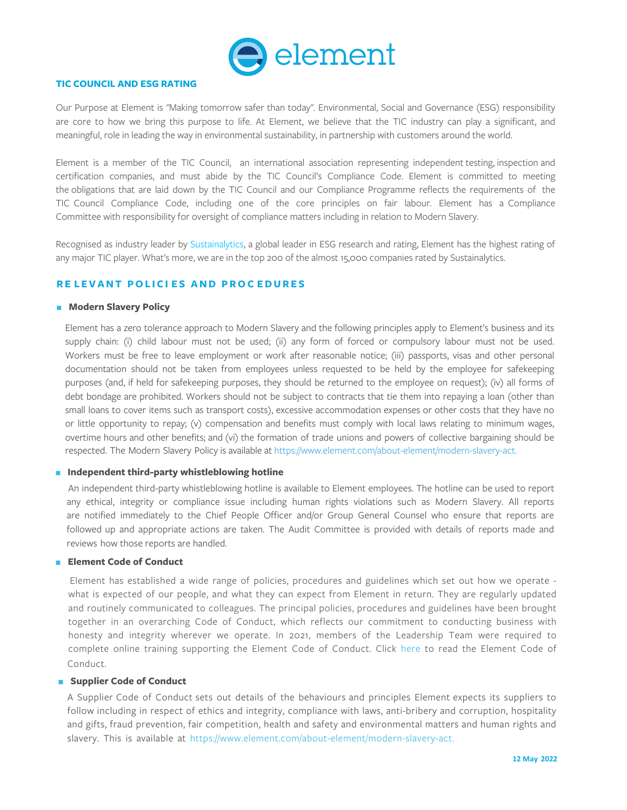

#### **TIC COUNCIL AND ESG RATING**

Our Purpose at Element is "Making tomorrow safer than today". Environmental, Social and Governance (ESG) responsibility are core to how we bring this purpose to life. At Element, we believe that the TIC industry can play a significant, and meaningful, role in leading the way in environmental sustainability, in partnership with customers around the world.

Element is a member of the TIC Council, an international association representing independent testing, inspection and certification companies, and must abide by the TIC Council's Compliance Code. Element is committed to meeting the obligations that are laid down by the TIC Council and our Compliance Programme reflects the requirements of the TIC Council Compliance Code, including one of the core principles on fair labour. Element has a Compliance Committee with responsibility for oversight of compliance matters including in relation to Modern Slavery.

Recognised as industry leader by Sustainalytics, a global leader in ESG research and rating, Element has the highest rating of any major TIC player. What's more, we [are in the top 20](https://www.sustainalytics.com/esg-rating/element-materials-technology-ltd/2004760461)0 of the almost 15,000 companies rated by Sustainalytics.

## **R E L EVANT POLICI ES AND PROC EDURES**

#### **R** Modern Slavery Policy

Element has a zero tolerance approach to Modern Slavery and the following principles apply to Element's business and its supply chain: (i) child labour must not be used; (ii) any form of forced or compulsory labour must not be used. Workers must be free to leave employment or work after reasonable notice; (iii) passports, visas and other personal documentation should not be taken from employees unless requested to be held by the employee for safekeeping purposes (and, if held for safekeeping purposes, they should be returned to the employee on request); (iv) all forms of debt bondage are prohibited. Workers should not be subject to contracts that tie them into repaying a loan (other than small loans to cover items such as transport costs), excessive accommodation expenses or other costs that they have no or little opportunity to repay; (v) compensation and benefits must comply with local laws relating to minimum wages, overtime hours and other benefits; and (vi) the formation of trade unions and powers of collective bargaining should be respected. The Modern Slavery Policy is av[ailable at https://www.element.com/about-element/modern-slavery-act.](https://www.element.com/about-element/modern-slavery-act)

#### $\blacksquare$  Independent third-party whistleblowing hotline

An independent third-party whistleblowing hotline is available to Element employees. The hotline can be used to report any ethical, integrity or compliance issue including human rights violations such as Modern Slavery. All reports are notified immediately to the Chief People Officer and/or Group General Counsel who ensure that reports are followed up and appropriate actions are taken. The Audit Committee is provided with details of reports made and reviews how those reports are handled.

## **Element Code of Conduct**

Element has established a wide range of policies, procedures and guidelines which set out how we operate what is expected of our people, and what they can expect from Element in return. They are regularly updated and routinely communicated to colleagues. The principal policies, procedures and guidelines have been brought together in an overarching Code of Conduct, which reflects our commitment to conducting business with honesty and integrity wherever we operate. In 2021, members of the Leadership Team were required to [complete online training supporting the Element Code of Conduct. Click here to read the Element Code of](https://mc-68095c24-9d47-44d2-a4ee-620361-cdn-endpoint.azureedge.net/-/media/files/policies-and-procedures/element-code-of-conduct.pdf?rev=18667cfa28b44a0ea63457c5abdc8b91&hash=A579D514A9375D1003F8AB3A64287181) Conduct.

#### **F** Supplier Code of Conduct

A Supplier Code of Conduct sets out details of the behaviours and principles Element expects its suppliers to follow including in respect of ethics and integrity, compliance with laws, anti-bribery and corruption, hospitality [and gifts, fraud prevention, fair competition, health and safety and environmental matters and human rights and](https://www.element.com/about-element/modern-slavery-act)  slavery. This is available at https://www.element.com/about-element/modern-slavery-act.